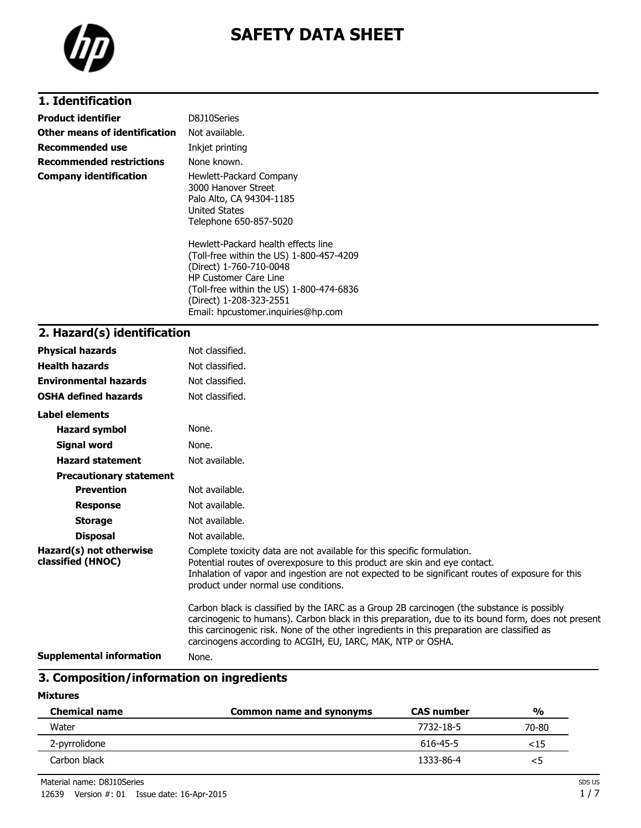

# **SAFETY DATA SHEET**

# **1. Identification**

| <b>Product identifier</b>     | D8J10Series                                                                                                                                                                                                       |
|-------------------------------|-------------------------------------------------------------------------------------------------------------------------------------------------------------------------------------------------------------------|
| Other means of identification | Not available.                                                                                                                                                                                                    |
| Recommended use               | Inkjet printing                                                                                                                                                                                                   |
| Recommended restrictions      | None known.                                                                                                                                                                                                       |
| Company identification        | Hewlett-Packard Company<br>3000 Hanover Street<br>Palo Alto, CA 94304-1185<br><b>United States</b><br>Telephone 650-857-5020                                                                                      |
|                               | Hewlett-Packard health effects line<br>(Toll-free within the US) 1-800-457-4209<br>(Direct) 1-760-710-0048<br><b>HP Customer Care Line</b><br>(Toll-free within the US) 1-800-474-6836<br>(Direct) 1-208-323-2551 |

Email: hpcustomer.inquiries@hp.com

## **2. Hazard(s) identification**

| <b>Physical hazards</b>                      | Not classified.                                                                                                                                                                                                                                                                                                                                                |
|----------------------------------------------|----------------------------------------------------------------------------------------------------------------------------------------------------------------------------------------------------------------------------------------------------------------------------------------------------------------------------------------------------------------|
| <b>Health hazards</b>                        | Not classified.                                                                                                                                                                                                                                                                                                                                                |
| <b>Environmental hazards</b>                 | Not classified.                                                                                                                                                                                                                                                                                                                                                |
| <b>OSHA defined hazards</b>                  | Not classified.                                                                                                                                                                                                                                                                                                                                                |
| Label elements                               |                                                                                                                                                                                                                                                                                                                                                                |
| <b>Hazard symbol</b>                         | None.                                                                                                                                                                                                                                                                                                                                                          |
| <b>Signal word</b>                           | None.                                                                                                                                                                                                                                                                                                                                                          |
| <b>Hazard statement</b>                      | Not available.                                                                                                                                                                                                                                                                                                                                                 |
| <b>Precautionary statement</b>               |                                                                                                                                                                                                                                                                                                                                                                |
| <b>Prevention</b>                            | Not available.                                                                                                                                                                                                                                                                                                                                                 |
| <b>Response</b>                              | Not available.                                                                                                                                                                                                                                                                                                                                                 |
| <b>Storage</b>                               | Not available.                                                                                                                                                                                                                                                                                                                                                 |
| <b>Disposal</b>                              | Not available.                                                                                                                                                                                                                                                                                                                                                 |
| Hazard(s) not otherwise<br>classified (HNOC) | Complete toxicity data are not available for this specific formulation.<br>Potential routes of overexposure to this product are skin and eye contact.<br>Inhalation of vapor and ingestion are not expected to be significant routes of exposure for this<br>product under normal use conditions.                                                              |
|                                              | Carbon black is classified by the IARC as a Group 2B carcinogen (the substance is possibly<br>carcinogenic to humans). Carbon black in this preparation, due to its bound form, does not present<br>this carcinogenic risk. None of the other ingredients in this preparation are classified as<br>carcinogens according to ACGIH, EU, IARC, MAK, NTP or OSHA. |
| <b>Supplemental information</b>              | None.                                                                                                                                                                                                                                                                                                                                                          |

# **3. Composition/information on ingredients**

#### **Mixtures**

| <b>Chemical name</b> | Common name and synonyms | <b>CAS number</b> | $\frac{0}{0}$ |
|----------------------|--------------------------|-------------------|---------------|
| Water                |                          | 7732-18-5         | 70-80         |
| 2-pyrrolidone        |                          | 616-45-5          | <15           |
| Carbon black         |                          | 1333-86-4         | <5            |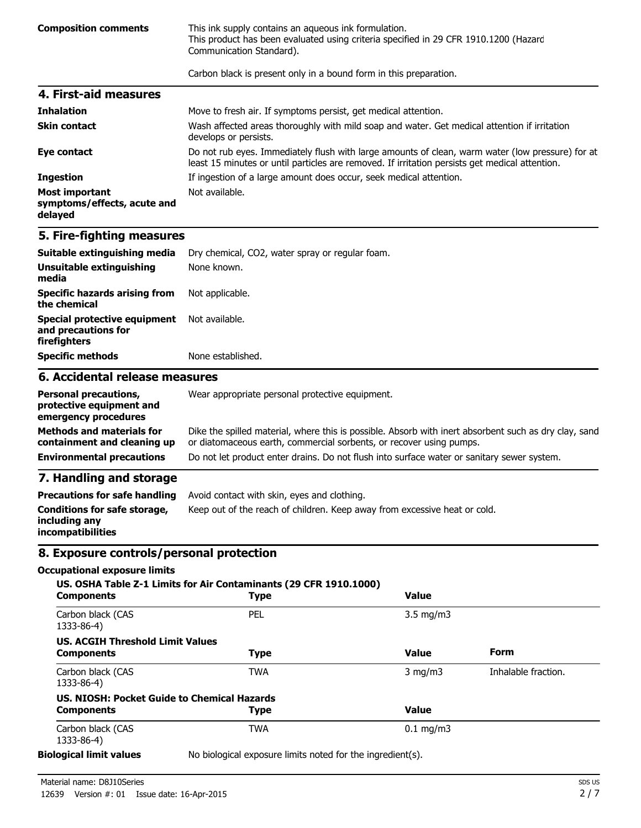**Composition comments** This ink supply contains an aqueous ink formulation. This product has been evaluated using criteria specified in 29 CFR 1910.1200 (Hazard Communication Standard).

Carbon black is present only in a bound form in this preparation.

| 4. First-aid measures                                           |                                                                                                                                                                                                    |
|-----------------------------------------------------------------|----------------------------------------------------------------------------------------------------------------------------------------------------------------------------------------------------|
| <b>Inhalation</b>                                               | Move to fresh air. If symptoms persist, get medical attention.                                                                                                                                     |
| <b>Skin contact</b>                                             | Wash affected areas thoroughly with mild soap and water. Get medical attention if irritation<br>develops or persists.                                                                              |
| Eye contact                                                     | Do not rub eyes. Immediately flush with large amounts of clean, warm water (low pressure) for at<br>least 15 minutes or until particles are removed. If irritation persists get medical attention. |
| <b>Ingestion</b>                                                | If ingestion of a large amount does occur, seek medical attention.                                                                                                                                 |
| <b>Most important</b><br>symptoms/effects, acute and<br>delayed | Not available.                                                                                                                                                                                     |

### **5. Fire-fighting measures**

| 6 Accidental release measures                                       |                                                 |  |
|---------------------------------------------------------------------|-------------------------------------------------|--|
| <b>Specific methods</b>                                             | None established.                               |  |
| Special protective equipment<br>and precautions for<br>firefighters | Not available.                                  |  |
| Specific hazards arising from<br>the chemical                       | Not applicable.                                 |  |
| <b>Unsuitable extinguishing</b><br>media                            | None known.                                     |  |
| Suitable extinguishing media                                        | Dry chemical, CO2, water spray or regular foam. |  |

### **6. Accidental release measures**

| <b>Personal precautions,</b><br>protective equipment and<br>emergency procedures | Wear appropriate personal protective equipment.                                                                                                                              |
|----------------------------------------------------------------------------------|------------------------------------------------------------------------------------------------------------------------------------------------------------------------------|
| <b>Methods and materials for</b><br>containment and cleaning up                  | Dike the spilled material, where this is possible. Absorb with inert absorbent such as dry clay, sand<br>or diatomaceous earth, commercial sorbents, or recover using pumps. |
| <b>Environmental precautions</b>                                                 | Do not let product enter drains. Do not flush into surface water or sanitary sewer system.                                                                                   |

### **7. Handling and storage**

|                                                                           | <b>Precautions for safe handling</b> Avoid contact with skin, eyes and clothing. |  |
|---------------------------------------------------------------------------|----------------------------------------------------------------------------------|--|
| Conditions for safe storage,<br>including any<br><i>incompatibilities</i> | Keep out of the reach of children. Keep away from excessive heat or cold.        |  |

### **8. Exposure controls/personal protection**

### **Occupational exposure limits**

| <b>Components</b>                       | US. OSHA Table Z-1 Limits for Air Contaminants (29 CFR 1910.1000)<br>Type | <b>Value</b>       |                     |
|-----------------------------------------|---------------------------------------------------------------------------|--------------------|---------------------|
| Carbon black (CAS<br>1333-86-4)         | PEL                                                                       | $3.5 \text{ mg/m}$ |                     |
| <b>US. ACGIH Threshold Limit Values</b> |                                                                           |                    |                     |
| <b>Components</b>                       | <b>Type</b>                                                               | <b>Value</b>       | Form                |
| Carbon black (CAS<br>1333-86-4)         | <b>TWA</b>                                                                | $3$ mg/m $3$       | Inhalable fraction. |
|                                         | US. NIOSH: Pocket Guide to Chemical Hazards                               |                    |                     |
| <b>Components</b>                       | <b>Type</b>                                                               | Value              |                     |
| Carbon black (CAS<br>1333-86-4)         | <b>TWA</b>                                                                | $0.1 \text{ mg/m}$ |                     |
| alagical limit values                   | No biological expecure limits noted for the ingredient(s)                 |                    |                     |

**Biological limit values** No biological exposure limits noted for the ingredient(s).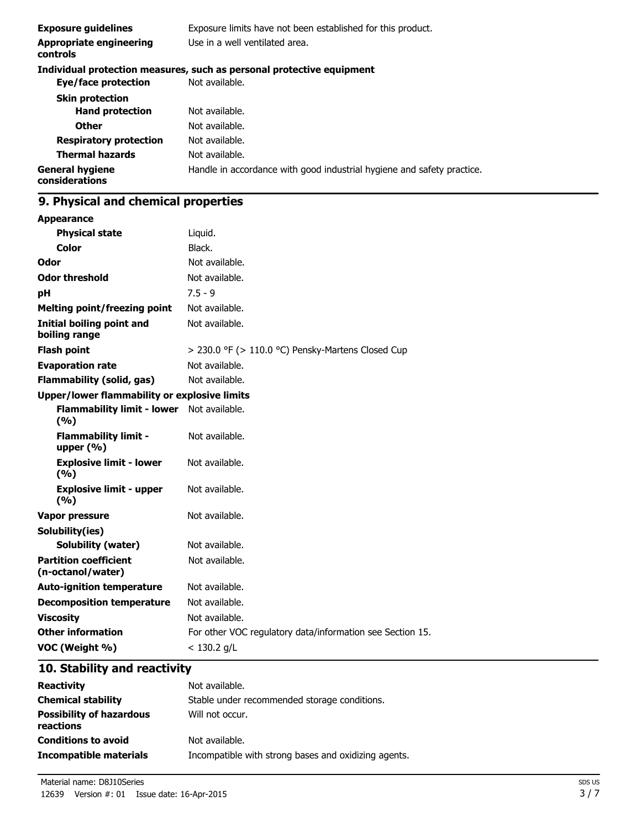| <b>Exposure guidelines</b>               | Exposure limits have not been established for this product.            |  |
|------------------------------------------|------------------------------------------------------------------------|--|
| Appropriate engineering<br>controls      | Use in a well ventilated area.                                         |  |
|                                          | Individual protection measures, such as personal protective equipment  |  |
| Eye/face protection                      | Not available.                                                         |  |
| <b>Skin protection</b>                   |                                                                        |  |
| <b>Hand protection</b>                   | Not available.                                                         |  |
| <b>Other</b>                             | Not available.                                                         |  |
| <b>Respiratory protection</b>            | Not available.                                                         |  |
| <b>Thermal hazards</b>                   | Not available.                                                         |  |
| <b>General hygiene</b><br>considerations | Handle in accordance with good industrial hygiene and safety practice. |  |

# **9. Physical and chemical properties**

| <b>Appearance</b>                                   |                                                           |
|-----------------------------------------------------|-----------------------------------------------------------|
| <b>Physical state</b>                               | Liquid.                                                   |
| Color                                               | Black.                                                    |
| Odor                                                | Not available.                                            |
| <b>Odor threshold</b>                               | Not available.                                            |
| рH                                                  | $7.5 - 9$                                                 |
| <b>Melting point/freezing point</b>                 | Not available.                                            |
| <b>Initial boiling point and</b><br>boiling range   | Not available.                                            |
| <b>Flash point</b>                                  | $>$ 230.0 °F ( $>$ 110.0 °C) Pensky-Martens Closed Cup    |
| <b>Evaporation rate</b>                             | Not available.                                            |
| <b>Flammability (solid, gas)</b>                    | Not available.                                            |
| <b>Upper/lower flammability or explosive limits</b> |                                                           |
| <b>Flammability limit - lower</b><br>(%)            | Not available.                                            |
| <b>Flammability limit -</b><br>upper (%)            | Not available.                                            |
| <b>Explosive limit - lower</b><br>(%)               | Not available.                                            |
| <b>Explosive limit - upper</b><br>(9/6)             | Not available.                                            |
| <b>Vapor pressure</b>                               | Not available.                                            |
| Solubility(ies)                                     |                                                           |
| <b>Solubility (water)</b>                           | Not available.                                            |
| <b>Partition coefficient</b><br>(n-octanol/water)   | Not available.                                            |
| <b>Auto-ignition temperature</b>                    | Not available.                                            |
| <b>Decomposition temperature</b>                    | Not available.                                            |
| <b>Viscosity</b>                                    | Not available.                                            |
| <b>Other information</b>                            | For other VOC regulatory data/information see Section 15. |
| VOC (Weight %)                                      | $< 130.2$ g/L                                             |

# **10. Stability and reactivity**

| <b>Reactivity</b>                            | Not available.                                       |
|----------------------------------------------|------------------------------------------------------|
| <b>Chemical stability</b>                    | Stable under recommended storage conditions.         |
| <b>Possibility of hazardous</b><br>reactions | Will not occur.                                      |
| <b>Conditions to avoid</b>                   | Not available.                                       |
| Incompatible materials                       | Incompatible with strong bases and oxidizing agents. |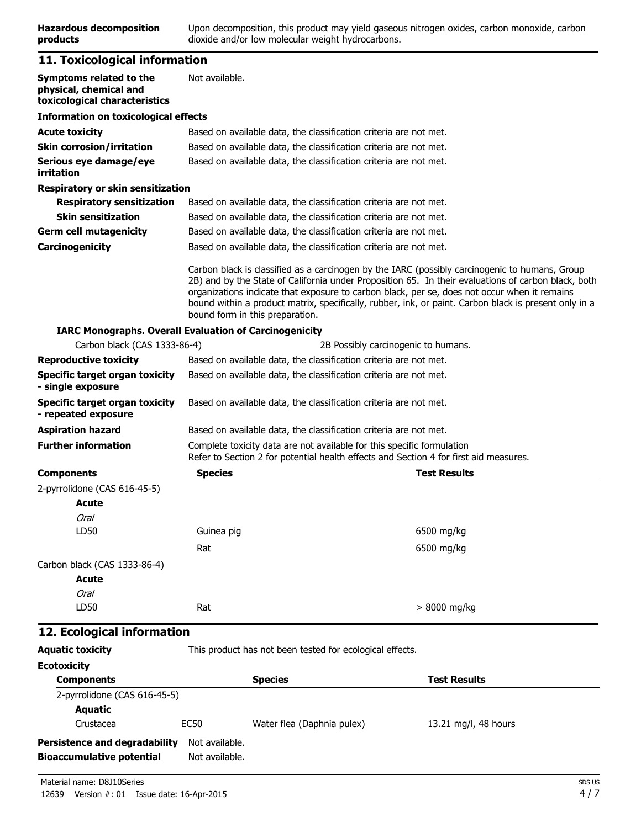# **11. Toxicological information**

| Symptoms related to the<br>physical, chemical and<br>toxicological characteristics | Not available.                                                                                                                                                  |                                                                                                                                                                                                                                                                                                                                                                                                                |  |
|------------------------------------------------------------------------------------|-----------------------------------------------------------------------------------------------------------------------------------------------------------------|----------------------------------------------------------------------------------------------------------------------------------------------------------------------------------------------------------------------------------------------------------------------------------------------------------------------------------------------------------------------------------------------------------------|--|
| <b>Information on toxicological effects</b>                                        |                                                                                                                                                                 |                                                                                                                                                                                                                                                                                                                                                                                                                |  |
| <b>Acute toxicity</b>                                                              | Based on available data, the classification criteria are not met.                                                                                               |                                                                                                                                                                                                                                                                                                                                                                                                                |  |
| <b>Skin corrosion/irritation</b>                                                   | Based on available data, the classification criteria are not met.                                                                                               |                                                                                                                                                                                                                                                                                                                                                                                                                |  |
| Serious eye damage/eye<br>irritation                                               | Based on available data, the classification criteria are not met.                                                                                               |                                                                                                                                                                                                                                                                                                                                                                                                                |  |
| <b>Respiratory or skin sensitization</b>                                           |                                                                                                                                                                 |                                                                                                                                                                                                                                                                                                                                                                                                                |  |
| <b>Respiratory sensitization</b>                                                   | Based on available data, the classification criteria are not met.                                                                                               |                                                                                                                                                                                                                                                                                                                                                                                                                |  |
| <b>Skin sensitization</b>                                                          | Based on available data, the classification criteria are not met.                                                                                               |                                                                                                                                                                                                                                                                                                                                                                                                                |  |
| <b>Germ cell mutagenicity</b>                                                      | Based on available data, the classification criteria are not met.                                                                                               |                                                                                                                                                                                                                                                                                                                                                                                                                |  |
| Carcinogenicity                                                                    | Based on available data, the classification criteria are not met.                                                                                               |                                                                                                                                                                                                                                                                                                                                                                                                                |  |
|                                                                                    | bound form in this preparation.                                                                                                                                 | Carbon black is classified as a carcinogen by the IARC (possibly carcinogenic to humans, Group<br>2B) and by the State of California under Proposition 65. In their evaluations of carbon black, both<br>organizations indicate that exposure to carbon black, per se, does not occur when it remains<br>bound within a product matrix, specifically, rubber, ink, or paint. Carbon black is present only in a |  |
|                                                                                    | <b>IARC Monographs. Overall Evaluation of Carcinogenicity</b>                                                                                                   |                                                                                                                                                                                                                                                                                                                                                                                                                |  |
| Carbon black (CAS 1333-86-4)                                                       |                                                                                                                                                                 | 2B Possibly carcinogenic to humans.                                                                                                                                                                                                                                                                                                                                                                            |  |
| <b>Reproductive toxicity</b>                                                       | Based on available data, the classification criteria are not met.                                                                                               |                                                                                                                                                                                                                                                                                                                                                                                                                |  |
| Specific target organ toxicity<br>- single exposure                                | Based on available data, the classification criteria are not met.                                                                                               |                                                                                                                                                                                                                                                                                                                                                                                                                |  |
| <b>Specific target organ toxicity</b><br>- repeated exposure                       | Based on available data, the classification criteria are not met.                                                                                               |                                                                                                                                                                                                                                                                                                                                                                                                                |  |
| <b>Aspiration hazard</b>                                                           | Based on available data, the classification criteria are not met.                                                                                               |                                                                                                                                                                                                                                                                                                                                                                                                                |  |
| <b>Further information</b>                                                         | Complete toxicity data are not available for this specific formulation<br>Refer to Section 2 for potential health effects and Section 4 for first aid measures. |                                                                                                                                                                                                                                                                                                                                                                                                                |  |
| <b>Components</b>                                                                  | <b>Species</b>                                                                                                                                                  | <b>Test Results</b>                                                                                                                                                                                                                                                                                                                                                                                            |  |
| 2-pyrrolidone (CAS 616-45-5)                                                       |                                                                                                                                                                 |                                                                                                                                                                                                                                                                                                                                                                                                                |  |
| Acute                                                                              |                                                                                                                                                                 |                                                                                                                                                                                                                                                                                                                                                                                                                |  |
| Oral                                                                               |                                                                                                                                                                 |                                                                                                                                                                                                                                                                                                                                                                                                                |  |
| LD50                                                                               | Guinea pig                                                                                                                                                      | 6500 mg/kg                                                                                                                                                                                                                                                                                                                                                                                                     |  |
|                                                                                    | Rat                                                                                                                                                             | 6500 mg/kg                                                                                                                                                                                                                                                                                                                                                                                                     |  |
| Carbon black (CAS 1333-86-4)<br>Acute                                              |                                                                                                                                                                 |                                                                                                                                                                                                                                                                                                                                                                                                                |  |
| Oral                                                                               |                                                                                                                                                                 |                                                                                                                                                                                                                                                                                                                                                                                                                |  |
| LD50                                                                               | Rat                                                                                                                                                             | > 8000 mg/kg                                                                                                                                                                                                                                                                                                                                                                                                   |  |
| 12. Ecological information                                                         |                                                                                                                                                                 |                                                                                                                                                                                                                                                                                                                                                                                                                |  |
| <b>Aquatic toxicity</b>                                                            | This product has not been tested for ecological effects.                                                                                                        |                                                                                                                                                                                                                                                                                                                                                                                                                |  |
| <b>Ecotoxicity</b><br><b>Components</b>                                            | <b>Species</b>                                                                                                                                                  | <b>Test Results</b>                                                                                                                                                                                                                                                                                                                                                                                            |  |
|                                                                                    |                                                                                                                                                                 |                                                                                                                                                                                                                                                                                                                                                                                                                |  |

| 2-pyrrolidone (CAS 616-45-5)         |                |                            |                      |  |
|--------------------------------------|----------------|----------------------------|----------------------|--|
| Aguatic                              |                |                            |                      |  |
| Crustacea                            | EC50           | Water flea (Daphnia pulex) | 13.21 mg/l, 48 hours |  |
| <b>Persistence and degradability</b> | Not available. |                            |                      |  |
| <b>Bioaccumulative potential</b>     | Not available. |                            |                      |  |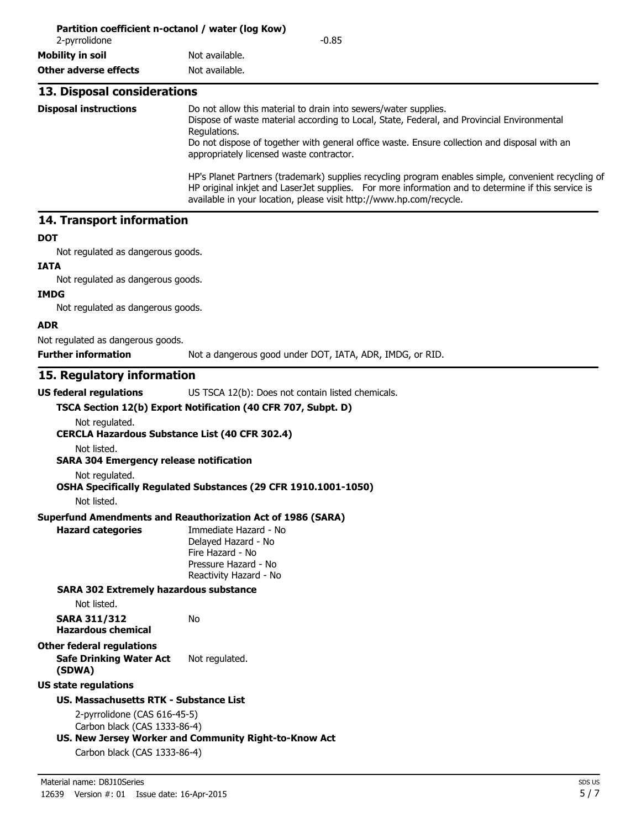| 2-pyrrolidone                | Partition coefficient n-octanol / water (log Kow)<br>$-0.85$                                                                                                                                                                                                                                                              |  |  |
|------------------------------|---------------------------------------------------------------------------------------------------------------------------------------------------------------------------------------------------------------------------------------------------------------------------------------------------------------------------|--|--|
| Mobility in soil             | Not available.                                                                                                                                                                                                                                                                                                            |  |  |
| Other adverse effects        | Not available.                                                                                                                                                                                                                                                                                                            |  |  |
| 13. Disposal considerations  |                                                                                                                                                                                                                                                                                                                           |  |  |
| <b>Disposal instructions</b> | Do not allow this material to drain into sewers/water supplies.<br>Dispose of waste material according to Local, State, Federal, and Provincial Environmental<br>Regulations.<br>Do not dispose of together with general office waste. Ensure collection and disposal with an<br>appropriately licensed waste contractor. |  |  |
|                              | HP's Planet Partners (trademark) supplies recycling program enables simple, convenient recycling of<br>HP original inkjet and LaserJet supplies. For more information and to determine if this service is<br>available in your location, please visit http://www.hp.com/recycle.                                          |  |  |

### **14. Transport information**

#### **DOT**

Not regulated as dangerous goods.

### **IATA**

Not regulated as dangerous goods.

### **IMDG**

Not regulated as dangerous goods.

#### **ADR**

Not regulated as dangerous goods.

**Further information** Not a dangerous good under DOT, IATA, ADR, IMDG, or RID.

## **15. Regulatory information**

| US federal regulations                                       | US TSCA 12(b): Does not contain listed chemicals.                                                                  |
|--------------------------------------------------------------|--------------------------------------------------------------------------------------------------------------------|
|                                                              | TSCA Section 12(b) Export Notification (40 CFR 707, Subpt. D)                                                      |
| Not regulated.                                               |                                                                                                                    |
| <b>CERCLA Hazardous Substance List (40 CFR 302.4)</b>        |                                                                                                                    |
| Not listed.                                                  |                                                                                                                    |
| <b>SARA 304 Emergency release notification</b>               |                                                                                                                    |
| Not regulated.                                               |                                                                                                                    |
| Not listed.                                                  | OSHA Specifically Regulated Substances (29 CFR 1910.1001-1050)                                                     |
|                                                              | <b>Superfund Amendments and Reauthorization Act of 1986 (SARA)</b>                                                 |
| <b>Hazard categories</b>                                     | Immediate Hazard - No<br>Delayed Hazard - No<br>Fire Hazard - No<br>Pressure Hazard - No<br>Reactivity Hazard - No |
| <b>SARA 302 Extremely hazardous substance</b>                |                                                                                                                    |
| Not listed.                                                  |                                                                                                                    |
| <b>SARA 311/312</b><br><b>Hazardous chemical</b>             | No                                                                                                                 |
| <b>Other federal regulations</b>                             |                                                                                                                    |
| <b>Safe Drinking Water Act</b><br>(SDWA)                     | Not regulated.                                                                                                     |
| <b>US state regulations</b>                                  |                                                                                                                    |
| <b>US. Massachusetts RTK - Substance List</b>                |                                                                                                                    |
| 2-pyrrolidone (CAS 616-45-5)<br>Carbon black (CAS 1333-86-4) |                                                                                                                    |
|                                                              | US. New Jersey Worker and Community Right-to-Know Act                                                              |
| Carbon black (CAS 1333-86-4)                                 |                                                                                                                    |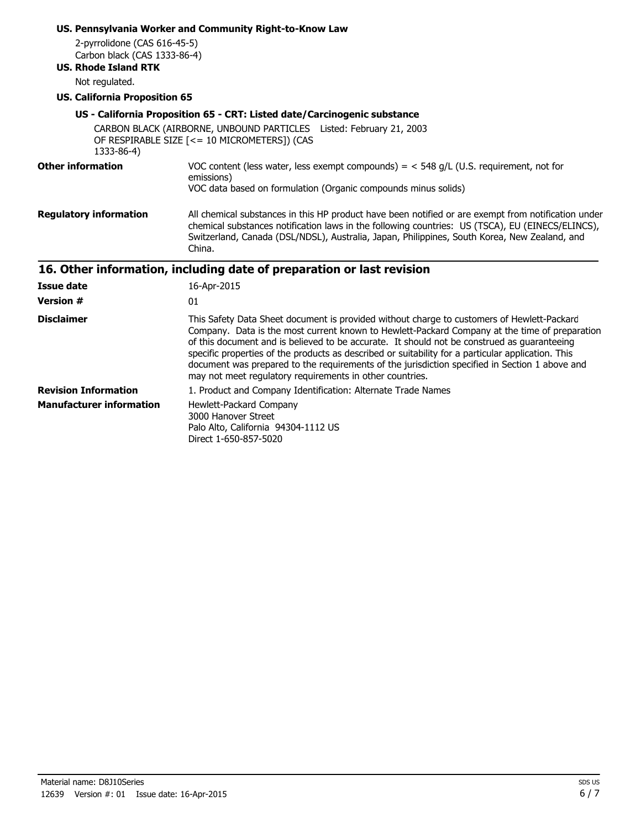| 2-pyrrolidone (CAS 616-45-5)<br>Carbon black (CAS 1333-86-4)<br><b>US. Rhode Island RTK</b><br>Not regulated.<br><b>US. California Proposition 65</b> | US. Pennsylvania Worker and Community Right-to-Know Law<br>US - California Proposition 65 - CRT: Listed date/Carcinogenic substance<br>CARBON BLACK (AIRBORNE, UNBOUND PARTICLES Listed: February 21, 2003                                                                                                                                                                                                                                                                                                                                                     |
|-------------------------------------------------------------------------------------------------------------------------------------------------------|----------------------------------------------------------------------------------------------------------------------------------------------------------------------------------------------------------------------------------------------------------------------------------------------------------------------------------------------------------------------------------------------------------------------------------------------------------------------------------------------------------------------------------------------------------------|
| 1333-86-4)                                                                                                                                            | OF RESPIRABLE SIZE [<= 10 MICROMETERS]) (CAS                                                                                                                                                                                                                                                                                                                                                                                                                                                                                                                   |
| <b>Other information</b>                                                                                                                              | VOC content (less water, less exempt compounds) = $<$ 548 g/L (U.S. requirement, not for<br>emissions)<br>VOC data based on formulation (Organic compounds minus solids)                                                                                                                                                                                                                                                                                                                                                                                       |
| <b>Regulatory information</b>                                                                                                                         | All chemical substances in this HP product have been notified or are exempt from notification under<br>chemical substances notification laws in the following countries: US (TSCA), EU (EINECS/ELINCS),<br>Switzerland, Canada (DSL/NDSL), Australia, Japan, Philippines, South Korea, New Zealand, and<br>China.                                                                                                                                                                                                                                              |
|                                                                                                                                                       | 16. Other information, including date of preparation or last revision                                                                                                                                                                                                                                                                                                                                                                                                                                                                                          |
| <b>Issue date</b>                                                                                                                                     | 16-Apr-2015                                                                                                                                                                                                                                                                                                                                                                                                                                                                                                                                                    |
| <b>Version #</b>                                                                                                                                      | 01                                                                                                                                                                                                                                                                                                                                                                                                                                                                                                                                                             |
| <b>Disclaimer</b>                                                                                                                                     | This Safety Data Sheet document is provided without charge to customers of Hewlett-Packard<br>Company. Data is the most current known to Hewlett-Packard Company at the time of preparation<br>of this document and is believed to be accurate. It should not be construed as guaranteeing<br>specific properties of the products as described or suitability for a particular application. This<br>document was prepared to the requirements of the jurisdiction specified in Section 1 above and<br>may not meet regulatory requirements in other countries. |
| <b>Revision Information</b>                                                                                                                           | 1. Product and Company Identification: Alternate Trade Names                                                                                                                                                                                                                                                                                                                                                                                                                                                                                                   |
| <b>Manufacturer information</b>                                                                                                                       | Hewlett-Packard Company<br>3000 Hanover Street<br>Palo Alto, California 94304-1112 US<br>Direct 1-650-857-5020                                                                                                                                                                                                                                                                                                                                                                                                                                                 |